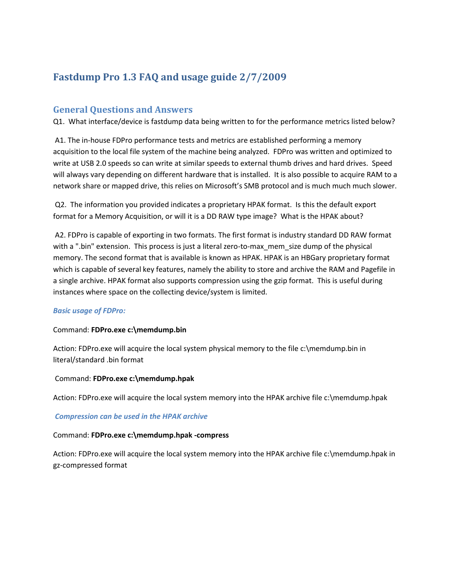# **Fastdump Pro 1.3 FAQ and usage guide 2/7/2009**

## **General Questions and Answers**

Q1. What interface/device is fastdump data being written to for the performance metrics listed below?

A1. The in-house FDPro performance tests and metrics are established performing a memory acquisition to the local file system of the machine being analyzed. FDPro was written and optimized to write at USB 2.0 speeds so can write at similar speeds to external thumb drives and hard drives. Speed will always vary depending on different hardware that is installed. It is also possible to acquire RAM to a network share or mapped drive, this relies on Microsoft's SMB protocol and is much much much slower.

Q2. The information you provided indicates a proprietary HPAK format. Is this the default export format for a Memory Acquisition, or will it is a DD RAW type image? What is the HPAK about?

A2. FDPro is capable of exporting in two formats. The first format is industry standard DD RAW format with a ".bin" extension. This process is just a literal zero-to-max\_mem\_size dump of the physical memory. The second format that is available is known as HPAK. HPAK is an HBGary proprietary format which is capable of several key features, namely the ability to store and archive the RAM and Pagefile in a single archive. HPAK format also supports compression using the gzip format. This is useful during instances where space on the collecting device/system is limited.

### *Basic usage of FDPro:*

### Command: **FDPro.exe c:\memdump.bin**

Action: FDPro.exe will acquire the local system physical memory to the file c:\memdump.bin in literal/standard .bin format

### Command: **FDPro.exe c:\memdump.hpak**

Action: FDPro.exe will acquire the local system memory into the HPAK archive file c:\memdump.hpak

### *Compression can be used in the HPAK archive*

#### Command: **FDPro.exe c:\memdump.hpak -compress**

Action: FDPro.exe will acquire the local system memory into the HPAK archive file c:\memdump.hpak in gz-compressed format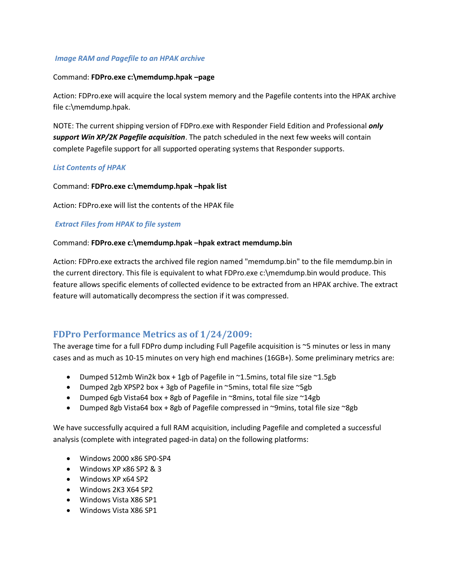## *Image RAM and Pagefile to an HPAK archive*

### Command: **FDPro.exe c:\memdump.hpak –page**

Action: FDPro.exe will acquire the local system memory and the Pagefile contents into the HPAK archive file c:\memdump.hpak.

NOTE: The current shipping version of FDPro.exe with Responder Field Edition and Professional *only support Win XP/2K Pagefile acquisition*. The patch scheduled in the next few weeks will contain complete Pagefile support for all supported operating systems that Responder supports.

### *List Contents of HPAK*

Command: **FDPro.exe c:\memdump.hpak –hpak list**

Action: FDPro.exe will list the contents of the HPAK file

### *Extract Files from HPAK to file system*

#### Command: **FDPro.exe c:\memdump.hpak –hpak extract memdump.bin**

Action: FDPro.exe extracts the archived file region named "memdump.bin" to the file memdump.bin in the current directory. This file is equivalent to what FDPro.exe c:\memdump.bin would produce. This feature allows specific elements of collected evidence to be extracted from an HPAK archive. The extract feature will automatically decompress the section if it was compressed.

# **FDPro Performance Metrics as of 1/24/2009:**

The average time for a full FDPro dump including Full Pagefile acquisition is ~5 minutes or less in many cases and as much as 10-15 minutes on very high end machines (16GB+). Some preliminary metrics are:

- Dumped 512mb Win2k box + 1gb of Pagefile in  $\sim$ 1.5mins, total file size  $\sim$ 1.5gb
- Dumped 2gb XPSP2 box + 3gb of Pagefile in  $\sim$ 5mins, total file size  $\sim$ 5gb
- Dumped 6gb Vista64 box + 8gb of Pagefile in  $\sim$ 8mins, total file size  $\sim$ 14gb
- Dumped 8gb Vista64 box + 8gb of Pagefile compressed in ~9mins, total file size ~8gb

We have successfully acquired a full RAM acquisition, including Pagefile and completed a successful analysis (complete with integrated paged-in data) on the following platforms:

- Windows 2000 x86 SP0-SP4
- Windows XP x86 SP2 & 3
- Windows XP x64 SP2
- Windows 2K3 X64 SP2
- Windows Vista X86 SP1
- Windows Vista X86 SP1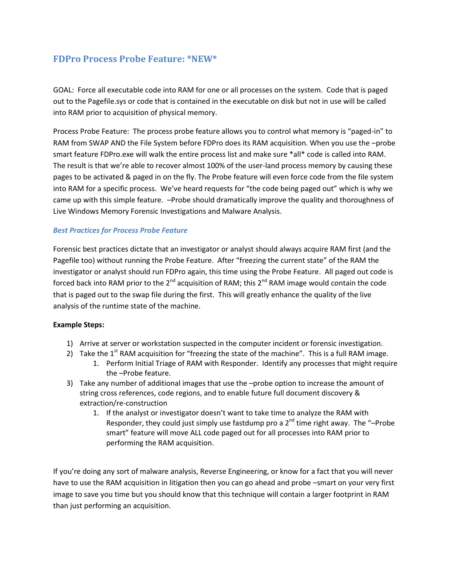# **FDPro Process Probe Feature: \*NEW\***

GOAL: Force all executable code into RAM for one or all processes on the system. Code that is paged out to the Pagefile.sys or code that is contained in the executable on disk but not in use will be called into RAM prior to acquisition of physical memory.

Process Probe Feature: The process probe feature allows you to control what memory is "paged-in" to RAM from SWAP AND the File System before FDPro does its RAM acquisition. When you use the –probe smart feature FDPro.exe will walk the entire process list and make sure \*all\* code is called into RAM. The result is that we're able to recover almost 100% of the user-land process memory by causing these pages to be activated & paged in on the fly. The Probe feature will even force code from the file system into RAM for a specific process. We've heard requests for "the code being paged out" which is why we came up with this simple feature. –Probe should dramatically improve the quality and thoroughness of Live Windows Memory Forensic Investigations and Malware Analysis.

## *Best Practices for Process Probe Feature*

Forensic best practices dictate that an investigator or analyst should always acquire RAM first (and the Pagefile too) without running the Probe Feature. After "freezing the current state" of the RAM the investigator or analyst should run FDPro again, this time using the Probe Feature. All paged out code is forced back into RAM prior to the  $2^{nd}$  acquisition of RAM; this  $2^{nd}$  RAM image would contain the code that is paged out to the swap file during the first. This will greatly enhance the quality of the live analysis of the runtime state of the machine.

### **Example Steps:**

- 1) Arrive at server or workstation suspected in the computer incident or forensic investigation.
- 2) Take the  $1<sup>st</sup>$  RAM acquisition for "freezing the state of the machine". This is a full RAM image.
	- 1. Perform Initial Triage of RAM with Responder. Identify any processes that might require the –Probe feature.
- 3) Take any number of additional images that use the –probe option to increase the amount of string cross references, code regions, and to enable future full document discovery & extraction/re-construction
	- 1. If the analyst or investigator doesn't want to take time to analyze the RAM with Responder, they could just simply use fastdump pro a  $2<sup>nd</sup>$  time right away. The "-Probe smart" feature will move ALL code paged out for all processes into RAM prior to performing the RAM acquisition.

If you're doing any sort of malware analysis, Reverse Engineering, or know for a fact that you will never have to use the RAM acquisition in litigation then you can go ahead and probe –smart on your very first image to save you time but you should know that this technique will contain a larger footprint in RAM than just performing an acquisition.